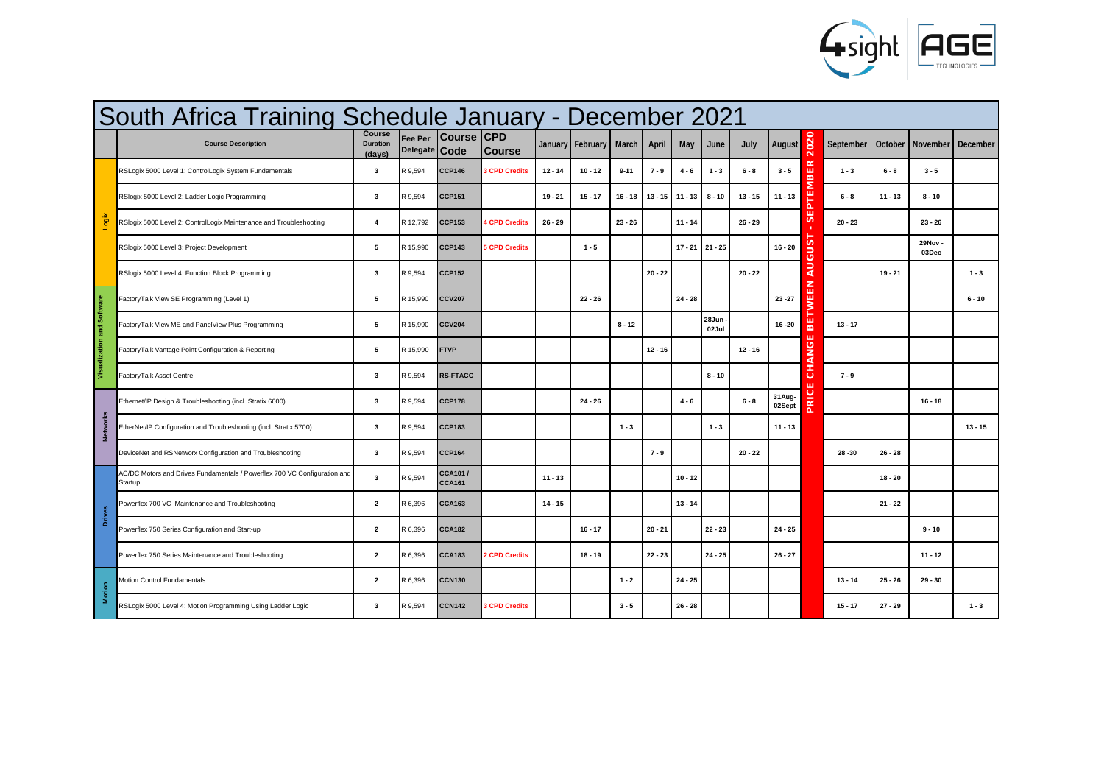

|                            | South Africa Training Schedule January - December 2021                               |                              |                            |                                 |                      |           |                |           |           |           |                |           |                  |                   |           |           |                  |           |
|----------------------------|--------------------------------------------------------------------------------------|------------------------------|----------------------------|---------------------------------|----------------------|-----------|----------------|-----------|-----------|-----------|----------------|-----------|------------------|-------------------|-----------|-----------|------------------|-----------|
|                            | <b>Course Description</b>                                                            | Course<br>Duration<br>(daws) | Fee Per<br><b>Delegate</b> | <b>Course CPD</b><br>Code       | <b>Course</b>        | January   | February March |           | April     | May       | June           | July      | August           | 202               | September | October   | November         | December  |
|                            | RSLogix 5000 Level 1: ControlLogix System Fundamentals                               | $\overline{\mathbf{3}}$      | ₹9,594                     | <b>CCP146</b>                   | <b>3 CPD Credits</b> | $12 - 14$ | $10 - 12$      | $9 - 11$  | $7 - 9$   | $4 - 6$   | $1 - 3$        | $6 - 8$   | $3 - 5$          | 띥<br>$\mathbf{m}$ | $1 - 3$   | $6 - 8$   | $3 - 5$          |           |
|                            | RSlogix 5000 Level 2: Ladder Logic Programming                                       | $\overline{\mathbf{3}}$      | R 9.594                    | <b>CCP151</b>                   |                      | $19 - 21$ | $15 - 17$      | $16 - 18$ | $13 - 15$ | $11 - 13$ | $8 - 10$       | $13 - 15$ | $11 - 13$        | ika.              | $6 - 8$   | $11 - 13$ | $8 - 10$         |           |
| Logix                      | RSlogix 5000 Level 2: ControlLogix Maintenance and Troubleshooting                   | $\overline{4}$               | 12.792                     | <b>CCP153</b>                   | <b>4 CPD Credits</b> | $26 - 29$ |                | $23 - 26$ |           | $11 - 14$ |                | $26 - 29$ |                  | ш<br><b>SV</b>    | $20 - 23$ |           | $23 - 26$        |           |
|                            | RSlogix 5000 Level 3: Project Development                                            | 5                            | 15,990                     | <b>CCP143</b>                   | <b>SCPD Credits</b>  |           | $1 - 5$        |           |           | $17 - 21$ | $21 - 25$      |           | $16 - 20$        | sus               |           |           | 29Nov -<br>03Dec |           |
|                            | RSlogix 5000 Level 4: Function Block Programming                                     | $\overline{\mathbf{3}}$      | R 9.594                    | <b>CCP152</b>                   |                      |           |                |           | $20 - 22$ |           |                | $20 - 22$ |                  | ₹                 |           | $19 - 21$ |                  | $1 - 3$   |
|                            | FactoryTalk View SE Programming (Level 1)                                            | 5                            | 15.990                     | <b>CCV207</b>                   |                      |           | $22 - 26$      |           |           | $24 - 28$ |                |           | $23 - 27$        | EEN<br>ξ          |           |           |                  | $6 - 10$  |
| Visualization and Software | FactoryTalk View ME and PanelView Plus Programming                                   | $\overline{5}$               | 3 15 990                   | <b>CCV204</b>                   |                      |           |                | $8 - 12$  |           |           | 28Jun<br>02Jul |           | $16 - 20$        | ш<br>ᆱ            | $13 - 17$ |           |                  |           |
|                            | FactoryTalk Vantage Point Configuration & Reporting                                  | 5                            | ₹15.990                    | <b>FTVP</b>                     |                      |           |                |           | $12 - 16$ |           |                | $12 - 16$ |                  | ш<br>CHANG        |           |           |                  |           |
|                            | FactoryTalk Asset Centre                                                             | $\overline{\mathbf{3}}$      | R 9.594                    | <b>RS-FTACC</b>                 |                      |           |                |           |           |           | $8 - 10$       |           |                  | ш                 | $7 - 9$   |           |                  |           |
|                            | Ethernet/IP Design & Troubleshooting (incl. Stratix 6000)                            | $\overline{\mathbf{3}}$      | R 9.594                    | <b>CCP178</b>                   |                      |           | $24 - 26$      |           |           | $4 - 6$   |                | $6 - 8$   | 31Aug-<br>02Sept | <b>PRICI</b>      |           |           | $16 - 18$        |           |
| <b>Networks</b>            | EtherNet/IP Configuration and Troubleshooting (incl. Stratix 5700)                   | $\overline{\mathbf{3}}$      | 3.594                      | <b>CCP183</b>                   |                      |           |                | $1 - 3$   |           |           | $1 - 3$        |           | $11 - 13$        |                   |           |           |                  | $13 - 15$ |
|                            | DeviceNet and RSNetworx Configuration and Troubleshooting                            | $\overline{\mathbf{3}}$      | R 9.594                    | <b>CCP164</b>                   |                      |           |                |           | $7 - 9$   |           |                | $20 - 22$ |                  |                   | $28 - 30$ | $26 - 28$ |                  |           |
|                            | AC/DC Motors and Drives Fundamentals / Powerflex 700 VC Configuration and<br>Startup | $\overline{\mathbf{3}}$      | R 9.594                    | <b>CCA101/</b><br><b>CCA161</b> |                      | $11 - 13$ |                |           |           | $10 - 12$ |                |           |                  |                   |           | $18 - 20$ |                  |           |
|                            | Powerflex 700 VC Maintenance and Troubleshooting                                     | $\overline{2}$               | 396                        | <b>CCA163</b>                   |                      | $14 - 15$ |                |           |           | $13 - 14$ |                |           |                  |                   |           | $21 - 22$ |                  |           |
| Drives                     | Powerflex 750 Series Configuration and Start-up                                      | $\overline{2}$               | R 6.396                    | <b>CCA182</b>                   |                      |           | $16 - 17$      |           | $20 - 21$ |           | $22 - 23$      |           | $24 - 25$        |                   |           |           | $9 - 10$         |           |
|                            | Powerflex 750 Series Maintenance and Troubleshooting                                 | $\overline{2}$               | 396                        | <b>CCA183</b>                   | <b>2 CPD Credits</b> |           | $18 - 19$      |           | $22 - 23$ |           | $24 - 25$      |           | $26 - 27$        |                   |           |           | $11 - 12$        |           |
| Motion                     | Motion Control Fundamentals                                                          | $\overline{2}$               | 8.396                      | <b>CCN130</b>                   |                      |           |                | $1 - 2$   |           | $24 - 25$ |                |           |                  |                   | $13 - 14$ | $25 - 26$ | $29 - 30$        |           |
|                            | RSLogix 5000 Level 4: Motion Programming Using Ladder Logic                          | $\overline{\mathbf{3}}$      | R 9.594                    | <b>CCN142</b>                   | <b>3 CPD Credits</b> |           |                | $3 - 5$   |           | $26 - 28$ |                |           |                  |                   | $15 - 17$ | $27 - 29$ |                  | $1 - 3$   |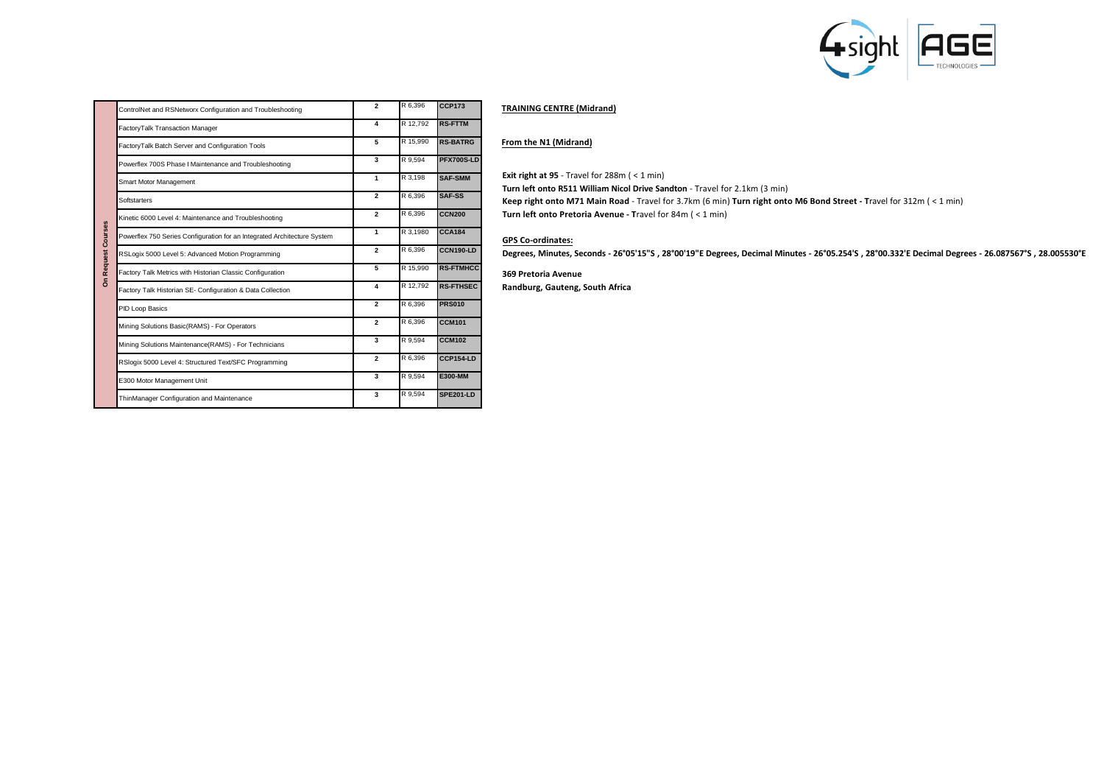

| IR 6.396 | <b>CCP173</b>  | <b>TRAINING CENT</b> |
|----------|----------------|----------------------|
| R 12.792 | <b>RS-FTTM</b> |                      |

| FactoryTalk Batch Server and Configuration Tools                         | 5                       |          | <b>RS-BATRG</b>  |
|--------------------------------------------------------------------------|-------------------------|----------|------------------|
| Powerflex 700S Phase I Maintenance and Troubleshooting                   | $\overline{\mathbf{3}}$ | R 9.594  | PFX700S-LD       |
| Smart Motor Management                                                   | 1                       | R 3.198  | <b>SAF-SMM</b>   |
| <b>Softstarters</b>                                                      | $\overline{a}$          | R 6.396  | SAF-SS           |
| Kinetic 6000 Level 4: Maintenance and Troubleshooting                    | $\overline{a}$          | R 6.396  | <b>CCN200</b>    |
| Powerflex 750 Series Configuration for an Integrated Architecture System | 1                       | R 3.1980 | <b>CCA184</b>    |
| RSLogix 5000 Level 5: Advanced Motion Programming                        | $\overline{a}$          | R 6.396  | <b>CCN190-LD</b> |
| Factory Talk Metrics with Historian Classic Configuration                | 5                       | R 15,990 | <b>RS-FTMHCC</b> |
| Factory Talk Historian SE- Configuration & Data Collection               | $\overline{A}$          | R 12.792 | <b>RS-FTHSEC</b> |
| PID Loop Basics                                                          | $\overline{a}$          | R 6,396  | <b>PRS010</b>    |
| Mining Solutions Basic(RAMS) - For Operators                             | $\overline{a}$          | R 6.396  | <b>CCM101</b>    |
| Mining Solutions Maintenance(RAMS) - For Technicians                     | $\overline{\mathbf{3}}$ | R 9.594  | <b>CCM102</b>    |
| RSlogix 5000 Level 4: Structured Text/SFC Programming                    | $\overline{a}$          | R 6.396  | <b>CCP154-LD</b> |
| E300 Motor Management Unit                                               | $\overline{\mathbf{3}}$ | R 9.594  | <b>E300-MM</b>   |
| ThinManager Configuration and Maintenance                                | $\overline{\mathbf{3}}$ | R 9.594  | <b>SPE201-LD</b> |
|                                                                          |                         |          | R 15,990         |

ControlNet and RSNetworx Configuration and Troubleshooting **2 2** FactoryTalk Transaction Manager **4 A** 

## **TRE** (Midrand)

## **From the N1 (Midrand)**

**Exit right at 95** - Travel for 288m ( < 1 min)

**Turn left onto R511 William Nicol Drive Sandton** - Travel for 2.1km (3 min)

**Keep right onto M71 Main Road** - Travel for 3.7km (6 min) **Turn right onto M6 Bond Street - T**ravel for 312m ( < 1 min)

**Turn left onto Pretoria Avenue - T**ravel for 84m ( < 1 min)

## **GPS Co-ordinates:**

**Degrees, Minutes, Seconds - 26°05'15"S , 28°00'19"E Degrees, Decimal Minutes - 26°05.254'S , 28°00.332'E Decimal Degrees - 26.087567°S , 28.005530°E**

**369 Pretoria Avenue**

**Randburg, Gauteng, South Africa**